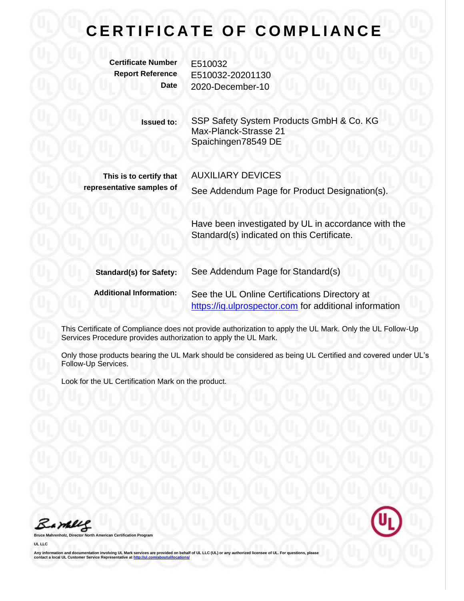## **CERTIFICATE OF COMPLIANCE**

**Certificate Number** E510032

**Report Reference** E510032-20201130 **Date** 2020-December-10

> **Issued to:** SSP Safety System Products GmbH & Co. KG Max-Planck-Strasse 21 Spaichingen78549 DE

**This is to certify that representative samples of** AUXILIARY DEVICES

See Addendum Page for Product Designation(s).

Have been investigated by UL in accordance with the Standard(s) indicated on this Certificate.

| <b>Standard(s) for Safety:</b> | See Addendum Page for Standard(s)                      |
|--------------------------------|--------------------------------------------------------|
| <b>Additional Information:</b> | See the UL Online Certifications Directory at          |
|                                | https://iq.ulprospector.com for additional information |

This Certificate of Compliance does not provide authorization to apply the UL Mark. Only the UL Follow-Up Services Procedure provides authorization to apply the UL Mark.

Only those products bearing the UL Mark should be considered as being UL Certified and covered under UL's Follow-Up Services.

Look for the UL Certification Mark on the product.

Bamelle

**Bruce Mahrenholz, Director North American Certification Program**

**UL LLC**

Any information and documentation involving UL Mark services are provided on behalf of UL LLC (UL) or any authorized licensee of UL. For questions, please<br>contact a local UL Customer Service Representative at <u>http://ul.co</u>